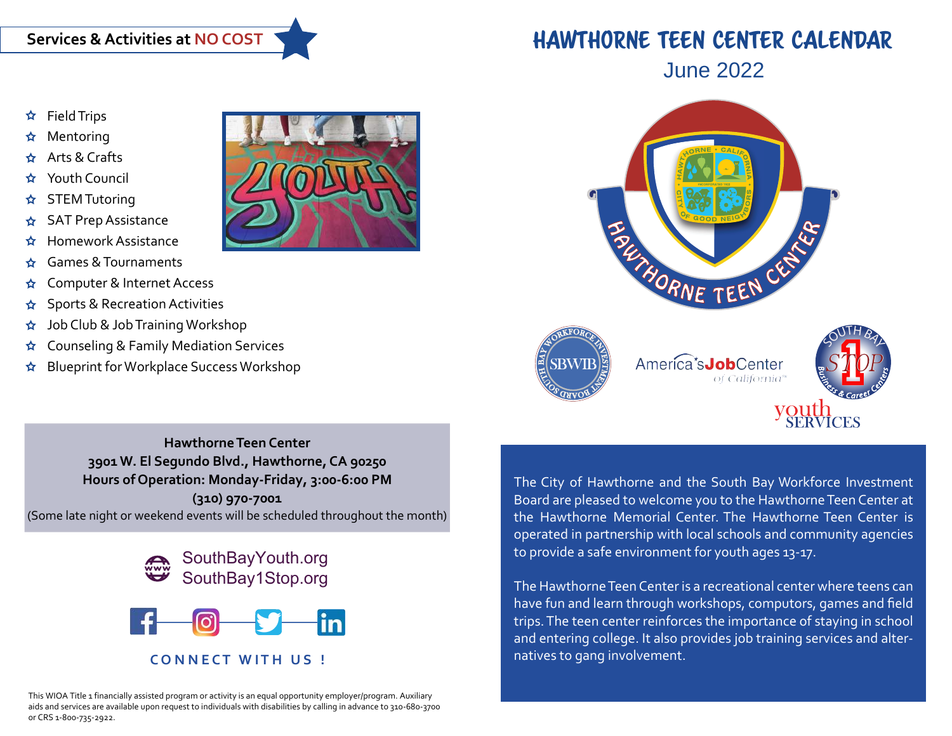- Field Trips
- Mentoring
- Arts & Crafts
- Youth Council
- STEM Tutoring
- SAT Prep Assistance
- Homework Assistance
- Games & Tournaments
- Computer & Internet Access
- Sports & Recreation Activities
- Job Club & Job Training Workshop
- Counseling & Family Mediation Services
- Blueprint for Workplace Success Workshop



## HAWTHORNE TEEN CENTER CALENDAR





SOUTH BAL

**Hawthorne Teen Center 3901 W. El Segundo Blvd., Hawthorne, CA 90250 Hours of Operation: Monday-Friday, 3:00-6:00 PM (310) 970-7001** (Some late night or weekend events will be scheduled throughout the month)





This WIOA Title 1 financially assisted program or activity is an equal opportunity employer/program. Auxiliary aids and services are available upon request to individuals with disabilities by calling in advance to 310-680-3700 The City of Hawthorne and the South Bay Workforce Investment Board are pleased to welcome you to the Hawthorne Teen Center at the Hawthorne Memorial Center. The Hawthorne Teen Center is operated in partnership with local schools and community agencies to provide a safe environment for youth ages 13-17.

The Hawthorne Teen Center is a recreational center where teens can have fun and learn through workshops, computors, games and field trips. The teen center reinforces the importance of staying in school and entering college. It also provides job training services and alternatives to gang involvement.